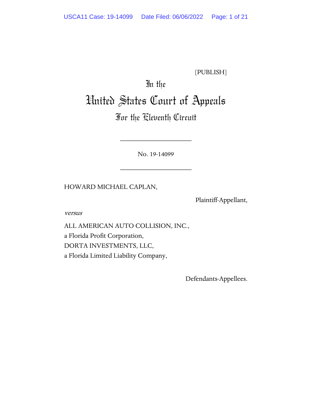[PUBLISH]

# In the

# United States Court of Appeals

# For the Eleventh Circuit

No. 19-14099

\_\_\_\_\_\_\_\_\_\_\_\_\_\_\_\_\_\_\_\_

\_\_\_\_\_\_\_\_\_\_\_\_\_\_\_\_\_\_\_\_

HOWARD MICHAEL CAPLAN,

Plaintiff-Appellant,

versus

ALL AMERICAN AUTO COLLISION, INC., a Florida Profit Corporation, DORTA INVESTMENTS, LLC, a Florida Limited Liability Company,

Defendants-Appellees.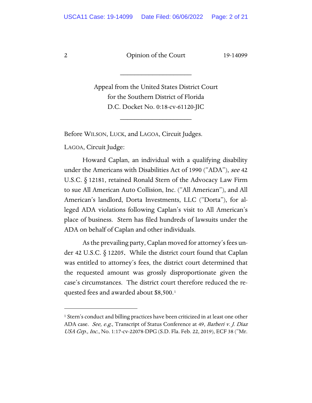\_\_\_\_\_\_\_\_\_\_\_\_\_\_\_\_\_\_\_\_

Appeal from the United States District Court for the Southern District of Florida D.C. Docket No. 0:18-cv-61120-JIC

\_\_\_\_\_\_\_\_\_\_\_\_\_\_\_\_\_\_\_\_

Before WILSON, LUCK, and LAGOA, Circuit Judges.

LAGOA, Circuit Judge:

Howard Caplan, an individual with a qualifying disability under the Americans with Disabilities Act of 1990 ("ADA"), see 42 U.S.C. § 12181, retained Ronald Stern of the Advocacy Law Firm to sue All American Auto Collision, Inc. ("All American"), and All American's landlord, Dorta Investments, LLC ("Dorta"), for alleged ADA violations following Caplan's visit to All American's place of business. Stern has filed hundreds of lawsuits under the ADA on behalf of Caplan and other individuals.

As the prevailing party, Caplan moved for attorney's fees under 42 U.S.C. § 12205. While the district court found that Caplan was entitled to attorney's fees, the district court determined that the requested amount was grossly disproportionate given the case's circumstances. The district court therefore reduced the requested fees and awarded about \$8,500.[1](#page-1-0)

<span id="page-1-0"></span><sup>&</sup>lt;sup>1</sup> Stern's conduct and billing practices have been criticized in at least one other ADA case. See, e.g., Transcript of Status Conference at 49, Barberi v. J. Diaz USA Grp., Inc., No. 1:17-cv-22078-DPG (S.D. Fla. Feb. 22, 2019), ECF 38 ("Mr.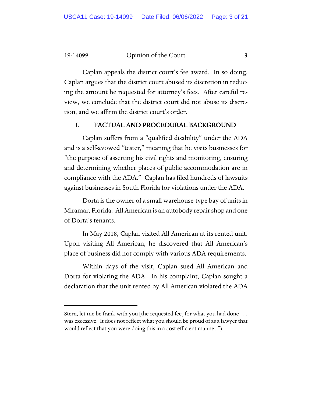Caplan appeals the district court's fee award. In so doing, Caplan argues that the district court abused its discretion in reducing the amount he requested for attorney's fees. After careful review, we conclude that the district court did not abuse its discretion, and we affirm the district court's order.

# I. FACTUAL AND PROCEDURAL BACKGROUND

Caplan suffers from a "qualified disability" under the ADA and is a self-avowed "tester," meaning that he visits businesses for "the purpose of asserting his civil rights and monitoring, ensuring and determining whether places of public accommodation are in compliance with the ADA." Caplan has filed hundreds of lawsuits against businesses in South Florida for violations under the ADA.

Dorta is the owner of a small warehouse-type bay of units in Miramar, Florida. All American is an autobody repair shop and one of Dorta's tenants.

In May 2018, Caplan visited All American at its rented unit. Upon visiting All American, he discovered that All American's place of business did not comply with various ADA requirements.

Within days of the visit, Caplan sued All American and Dorta for violating the ADA. In his complaint, Caplan sought a declaration that the unit rented by All American violated the ADA

Stern, let me be frank with you [the requested fee] for what you had done . . . was excessive. It does not reflect what you should be proud of as a lawyer that would reflect that you were doing this in a cost efficient manner.").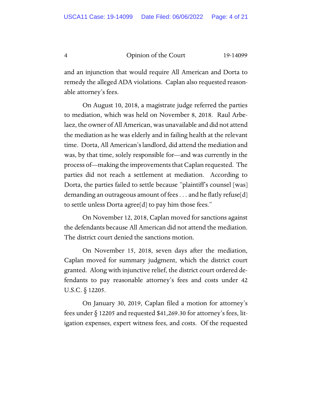and an injunction that would require All American and Dorta to remedy the alleged ADA violations. Caplan also requested reasonable attorney's fees.

On August 10, 2018, a magistrate judge referred the parties to mediation, which was held on November 8, 2018. Raul Arbelaez, the owner of All American, was unavailable and did not attend the mediation as he was elderly and in failing health at the relevant time. Dorta, All American's landlord, did attend the mediation and was, by that time, solely responsible for—and was currently in the process of—making the improvements that Caplan requested. The parties did not reach a settlement at mediation. According to Dorta, the parties failed to settle because "plaintiff's counsel [was] demanding an outrageous amount of fees . . . and he flatly refuse[d] to settle unless Dorta agree<sup>[d]</sup> to pay him those fees."

On November 12, 2018, Caplan moved for sanctions against the defendants because All American did not attend the mediation. The district court denied the sanctions motion.

On November 15, 2018, seven days after the mediation, Caplan moved for summary judgment, which the district court granted. Along with injunctive relief, the district court ordered defendants to pay reasonable attorney's fees and costs under 42 U.S.C. § 12205.

On January 30, 2019, Caplan filed a motion for attorney's fees under  $\delta$  12205 and requested \$41,269.30 for attorney's fees, litigation expenses, expert witness fees, and costs. Of the requested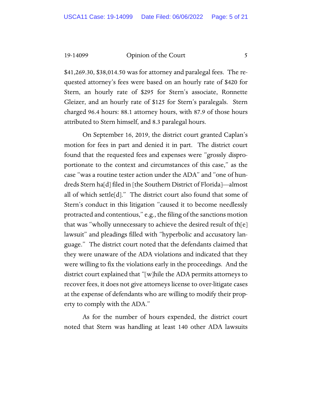\$41,269.30, \$38,014.50 was for attorney and paralegal fees. The requested attorney's fees were based on an hourly rate of \$420 for Stern, an hourly rate of \$295 for Stern's associate, Ronnette Gleizer, and an hourly rate of \$125 for Stern's paralegals. Stern charged 96.4 hours: 88.1 attorney hours, with 87.9 of those hours attributed to Stern himself, and 8.3 paralegal hours.

On September 16, 2019, the district court granted Caplan's motion for fees in part and denied it in part. The district court found that the requested fees and expenses were "grossly disproportionate to the context and circumstances of this case," as the case "was a routine tester action under the ADA" and "one of hundreds Stern ha[d] filed in [the Southern District of Florida]—almost all of which settle[d]." The district court also found that some of Stern's conduct in this litigation "caused it to become needlessly protracted and contentious," e.g., the filing of the sanctions motion that was "wholly unnecessary to achieve the desired result of th $[e]$ lawsuit" and pleadings filled with "hyperbolic and accusatory language." The district court noted that the defendants claimed that they were unaware of the ADA violations and indicated that they were willing to fix the violations early in the proceedings. And the district court explained that "[w]hile the ADA permits attorneys to recover fees, it does not give attorneys license to over-litigate cases at the expense of defendants who are willing to modify their property to comply with the ADA."

As for the number of hours expended, the district court noted that Stern was handling at least 140 other ADA lawsuits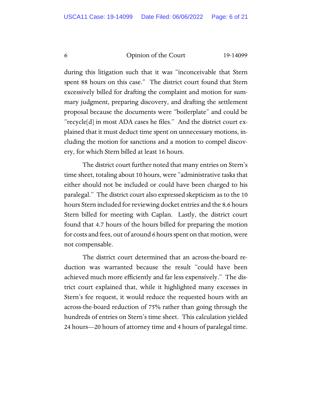during this litigation such that it was "inconceivable that Stern spent 88 hours on this case." The district court found that Stern excessively billed for drafting the complaint and motion for summary judgment, preparing discovery, and drafting the settlement proposal because the documents were "boilerplate" and could be "recycle[d] in most ADA cases he files." And the district court explained that it must deduct time spent on unnecessary motions, including the motion for sanctions and a motion to compel discovery, for which Stern billed at least 16 hours.

The district court further noted that many entries on Stern's time sheet, totaling about 10 hours, were "administrative tasks that either should not be included or could have been charged to his paralegal." The district court also expressed skepticism as to the 10 hours Stern included for reviewing docket entries and the 8.6 hours Stern billed for meeting with Caplan. Lastly, the district court found that 4.7 hours of the hours billed for preparing the motion for costs and fees, out of around 6 hours spent on that motion, were not compensable.

The district court determined that an across-the-board reduction was warranted because the result "could have been achieved much more efficiently and far less expensively." The district court explained that, while it highlighted many excesses in Stern's fee request, it would reduce the requested hours with an across-the-board reduction of 75% rather than going through the hundreds of entries on Stern's time sheet. This calculation yielded 24 hours—20 hours of attorney time and 4 hours of paralegal time.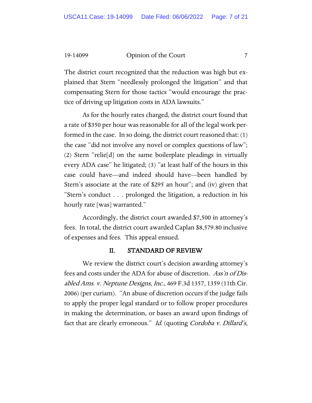The district court recognized that the reduction was high but explained that Stern "needlessly prolonged the litigation" and that compensating Stern for those tactics "would encourage the practice of driving up litigation costs in ADA lawsuits."

As for the hourly rates charged, the district court found that a rate of \$350 per hour was reasonable for all of the legal work performed in the case. In so doing, the district court reasoned that: (1) the case "did not involve any novel or complex questions of law"; (2) Stern "relie[d] on the same boilerplate pleadings in virtually every ADA case" he litigated; (3) "at least half of the hours in this case could have—and indeed should have—been handled by Stern's associate at the rate of \$295 an hour"; and (iv) given that "Stern's conduct . . . prolonged the litigation, a reduction in his hourly rate [was] warranted."

Accordingly, the district court awarded \$7,500 in attorney's fees. In total, the district court awarded Caplan \$8,579.80 inclusive of expenses and fees. This appeal ensued.

# II. STANDARD OF REVIEW

We review the district court's decision awarding attorney's fees and costs under the ADA for abuse of discretion. Ass'n of Disabled Ams. v. Neptune Designs, Inc., 469 F.3d 1357, 1359 (11th Cir. 2006) (per curiam). "An abuse of discretion occurs if the judge fails to apply the proper legal standard or to follow proper procedures in making the determination, or bases an award upon findings of fact that are clearly erroneous." Id. (quoting Cordoba v. Dillard's,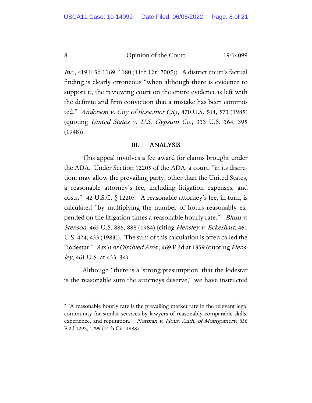Inc., 419 F.3d 1169, 1180 (11th Cir. 2005)). A district court's factual finding is clearly erroneous "when although there is evidence to support it, the reviewing court on the entire evidence is left with the definite and firm conviction that a mistake has been committed." Anderson v. City of Bessemer City, 470 U.S. 564, 573 (1985) (quoting United States v. U.S. Gypsum Co., 333 U.S. 364, 395 (1948)).

## III. ANALYSIS

This appeal involves a fee award for claims brought under the ADA. Under Section 12205 of the ADA, a court, "in its discretion, may allow the prevailing party, other than the United States, a reasonable attorney's fee, including litigation expenses, and costs." 42 U.S.C. § 12205. A reasonable attorney's fee, in turn, is calculated "by multiplying the number of hours reasonably expended on the litigation times a reasonable hourly rate."<sup>2</sup> Blum v. Stenson, 465 U.S. 886, 888 (1984) (citing Hensley v. Eckerhart, 461 U.S. 424, 433 (1983)). The sum of this calculation is often called the "lodestar." Ass'n of Disabled Ams., 469 F.3d at 1359 (quoting Hensley, 461 U.S. at 433–34).

Although "there is a 'strong presumption' that the lodestar is the reasonable sum the attorneys deserve," we have instructed

<span id="page-7-0"></span><sup>&</sup>lt;sup>2</sup> "A reasonable hourly rate is the prevailing market rate in the relevant legal community for similar services by lawyers of reasonably comparable skills, experience, and reputation." Norman v. Hous. Auth. of Montgomery, 836 F.2d 1292, 1299 (11th Cir. 1988).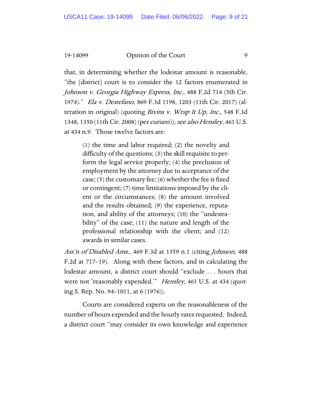that, in determining whether the lodestar amount is reasonable, "the [district] court is to consider the 12 factors enumerated in Johnson v. Georgia Highway Express, Inc., 488 F.2d 714 (5th Cir. 1974)." Ela v. Destefano, 869 F.3d 1198, 1203 (11th Cir. 2017) (alteration in original) (quoting Bivins v. Wrap It Up, Inc., 548 F.3d 1348, 1350 (11th Cir. 2008) (per curiam)); see also Hensley, 461 U.S. at 434 n.9. Those twelve factors are:

> (1) the time and labor required; (2) the novelty and difficulty of the questions; (3) the skill requisite to perform the legal service properly; (4) the preclusion of employment by the attorney due to acceptance of the case; (5) the customary fee; (6) whether the fee is fixed or contingent; (7) time limitations imposed by the client or the circumstances; (8) the amount involved and the results obtained; (9) the experience, reputation, and ability of the attorneys; (10) the "undesirability" of the case; (11) the nature and length of the professional relationship with the client; and (12) awards in similar cases.

Ass'n of Disabled Ams., 469 F.3d at 1359 n.1 (citing Johnson, 488 F.2d at 717–19). Along with these factors, and in calculating the lodestar amount, a district court should "exclude . . . hours that were not 'reasonably expended." Hensley, 461 U.S. at 434 (quoting S. Rep. No. 94–1011, at 6 (1976)).

Courts are considered experts on the reasonableness of the number of hours expended and the hourly rates requested. Indeed, a district court "may consider its own knowledge and experience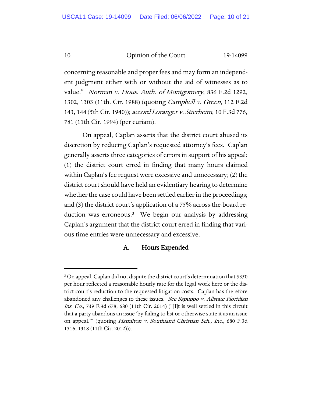concerning reasonable and proper fees and may form an independent judgment either with or without the aid of witnesses as to value." Norman v. Hous. Auth. of Montgomery, 836 F.2d 1292, 1302, 1303 (11th. Cir. 1988) (quoting Campbell v. Green, 112 F.2d 143, 144 (5th Cir. 1940)); accord Loranger v. Stierheim, 10 F.3d 776, 781 (11th Cir. 1994) (per curiam).

On appeal, Caplan asserts that the district court abused its discretion by reducing Caplan's requested attorney's fees. Caplan generally asserts three categories of errors in support of his appeal: (1) the district court erred in finding that many hours claimed within Caplan's fee request were excessive and unnecessary; (2) the district court should have held an evidentiary hearing to determine whether the case could have been settled earlier in the proceedings; and (3) the district court's application of a 75% across-the-board reduction was erroneous.[3](#page-9-0) We begin our analysis by addressing Caplan's argument that the district court erred in finding that various time entries were unnecessary and excessive.

# A. Hours Expended

<span id="page-9-0"></span><sup>&</sup>lt;sup>3</sup> On appeal, Caplan did not dispute the district court's determination that \$350 per hour reflected a reasonable hourly rate for the legal work here or the district court's reduction to the requested litigation costs. Caplan has therefore abandoned any challenges to these issues. See Sapuppo v. Allstate Floridian Ins. Co., 739 F.3d 678, 680 (11th Cir. 2014) ("[I]t is well settled in this circuit that a party abandons an issue 'by failing to list or otherwise state it as an issue on appeal.'" (quoting Hamilton v. Southland Christian Sch., Inc., 680 F.3d 1316, 1318 (11th Cir. 2012))).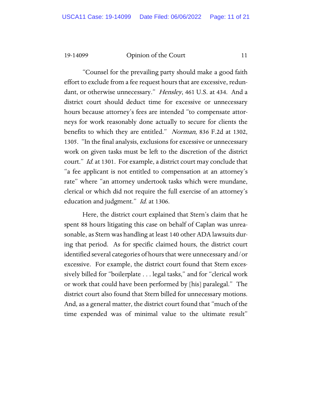"Counsel for the prevailing party should make a good faith effort to exclude from a fee request hours that are excessive, redundant, or otherwise unnecessary." Hensley, 461 U.S. at 434. And a district court should deduct time for excessive or unnecessary hours because attorney's fees are intended "to compensate attorneys for work reasonably done actually to secure for clients the benefits to which they are entitled." Norman, 836 F.2d at 1302, 1305. "In the final analysis, exclusions for excessive or unnecessary work on given tasks must be left to the discretion of the district court." *Id.* at 1301. For example, a district court may conclude that "a fee applicant is not entitled to compensation at an attorney's rate" where "an attorney undertook tasks which were mundane, clerical or which did not require the full exercise of an attorney's education and judgment." *Id.* at 1306.

Here, the district court explained that Stern's claim that he spent 88 hours litigating this case on behalf of Caplan was unreasonable, as Stern was handling at least 140 other ADA lawsuits during that period. As for specific claimed hours, the district court identified several categories of hours that were unnecessary and/or excessive. For example, the district court found that Stern excessively billed for "boilerplate . . . legal tasks," and for "clerical work or work that could have been performed by [his] paralegal." The district court also found that Stern billed for unnecessary motions. And, as a general matter, the district court found that "much of the time expended was of minimal value to the ultimate result"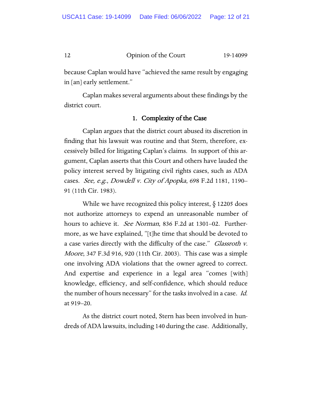because Caplan would have "achieved the same result by engaging in [an] early settlement."

Caplan makes several arguments about these findings by the district court.

# 1. Complexity of the Case

Caplan argues that the district court abused its discretion in finding that his lawsuit was routine and that Stern, therefore, excessively billed for litigating Caplan's claims. In support of this argument, Caplan asserts that this Court and others have lauded the policy interest served by litigating civil rights cases, such as ADA cases. See, e.g., Dowdell v. City of Apopka, 698 F.2d 1181, 1190– 91 (11th Cir. 1983).

While we have recognized this policy interest, § 12205 does not authorize attorneys to expend an unreasonable number of hours to achieve it. See Norman, 836 F.2d at 1301–02. Furthermore, as we have explained, "[t]he time that should be devoted to a case varies directly with the difficulty of the case." *Glassroth v.* Moore, 347 F.3d 916, 920 (11th Cir. 2003). This case was a simple one involving ADA violations that the owner agreed to correct. And expertise and experience in a legal area "comes [with] knowledge, efficiency, and self-confidence, which should reduce the number of hours necessary" for the tasks involved in a case. Id. at 919–20.

As the district court noted, Stern has been involved in hundreds of ADA lawsuits, including 140 during the case. Additionally,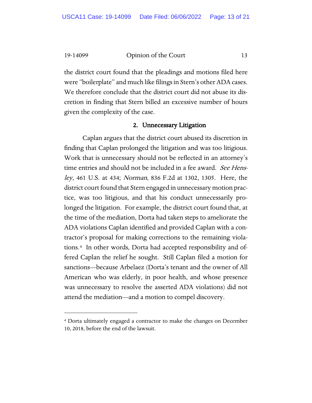the district court found that the pleadings and motions filed here were "boilerplate" and much like filings in Stern's other ADA cases. We therefore conclude that the district court did not abuse its discretion in finding that Stern billed an excessive number of hours given the complexity of the case.

#### 2. Unnecessary Litigation

Caplan argues that the district court abused its discretion in finding that Caplan prolonged the litigation and was too litigious. Work that is unnecessary should not be reflected in an attorney's time entries and should not be included in a fee award. See Hensley, 461 U.S. at 434; Norman, 836 F.2d at 1302, 1305. Here, the district court found that Stern engaged in unnecessary motion practice, was too litigious, and that his conduct unnecessarily prolonged the litigation. For example, the district court found that, at the time of the mediation, Dorta had taken steps to ameliorate the ADA violations Caplan identified and provided Caplan with a contractor's proposal for making corrections to the remaining violations.[4](#page-12-0) In other words, Dorta had accepted responsibility and offered Caplan the relief he sought. Still Caplan filed a motion for sanctions—because Arbelaez (Dorta's tenant and the owner of All American who was elderly, in poor health, and whose presence was unnecessary to resolve the asserted ADA violations) did not attend the mediation—and a motion to compel discovery.

<span id="page-12-0"></span><sup>4</sup> Dorta ultimately engaged a contractor to make the changes on December 10, 2018, before the end of the lawsuit.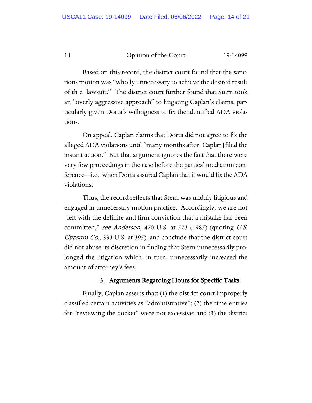Based on this record, the district court found that the sanctions motion was "wholly unnecessary to achieve the desired result of th[e] lawsuit." The district court further found that Stern took an "overly aggressive approach" to litigating Caplan's claims, particularly given Dorta's willingness to fix the identified ADA violations.

On appeal, Caplan claims that Dorta did not agree to fix the alleged ADA violations until "many months after [Caplan] filed the instant action." But that argument ignores the fact that there were very few proceedings in the case before the parties' mediation conference—i.e., when Dorta assured Caplan that it would fix the ADA violations.

Thus, the record reflects that Stern was unduly litigious and engaged in unnecessary motion practice. Accordingly, we are not "left with the definite and firm conviction that a mistake has been committed," see Anderson, 470 U.S. at 573 (1985) (quoting U.S. Gypsum Co., 333 U.S. at 395), and conclude that the district court did not abuse its discretion in finding that Stern unnecessarily prolonged the litigation which, in turn, unnecessarily increased the amount of attorney's fees.

# 3. Arguments Regarding Hours for Specific Tasks

Finally, Caplan asserts that: (1) the district court improperly classified certain activities as "administrative"; (2) the time entries for "reviewing the docket" were not excessive; and (3) the district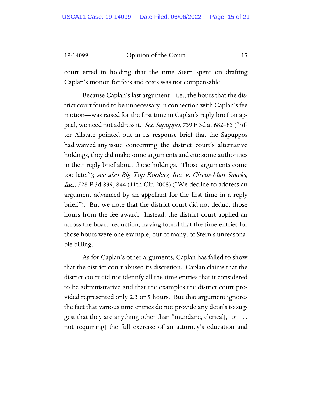court erred in holding that the time Stern spent on drafting Caplan's motion for fees and costs was not compensable.

Because Caplan's last argument—i.e., the hours that the district court found to be unnecessary in connection with Caplan's fee motion—was raised for the first time in Caplan's reply brief on appeal, we need not address it. *See Sapuppo*, 739 F.3d at 682–83 ("After Allstate pointed out in its response brief that the Sapuppos had waived any issue concerning the district court's alternative holdings, they did make some arguments and cite some authorities in their reply brief about those holdings. Those arguments come too late."); see also Big Top Koolers, Inc. v. Circus-Man Snacks, Inc., 528 F.3d 839, 844 (11th Cir. 2008) ("We decline to address an argument advanced by an appellant for the first time in a reply brief."). But we note that the district court did not deduct those hours from the fee award. Instead, the district court applied an across-the-board reduction, having found that the time entries for those hours were one example, out of many, of Stern's unreasonable billing.

As for Caplan's other arguments, Caplan has failed to show that the district court abused its discretion. Caplan claims that the district court did not identify all the time entries that it considered to be administrative and that the examples the district court provided represented only 2.3 or 5 hours. But that argument ignores the fact that various time entries do not provide any details to suggest that they are anything other than "mundane, clerical[,] or . . . not requir[ing] the full exercise of an attorney's education and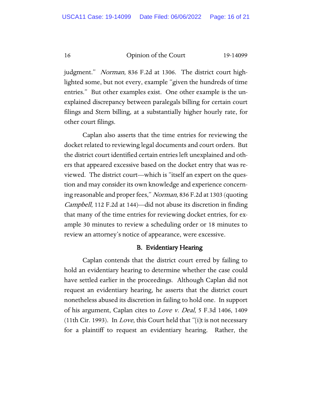judgment." *Norman*, 836 F.2d at 1306. The district court highlighted some, but not every, example "given the hundreds of time entries." But other examples exist. One other example is the unexplained discrepancy between paralegals billing for certain court filings and Stern billing, at a substantially higher hourly rate, for other court filings.

Caplan also asserts that the time entries for reviewing the docket related to reviewing legal documents and court orders. But the district court identified certain entries left unexplained and others that appeared excessive based on the docket entry that was reviewed. The district court—which is "itself an expert on the question and may consider its own knowledge and experience concerning reasonable and proper fees," Norman, 836 F.2d at 1303 (quoting Campbell, 112 F.2d at 144)—did not abuse its discretion in finding that many of the time entries for reviewing docket entries, for example 30 minutes to review a scheduling order or 18 minutes to review an attorney's notice of appearance, were excessive.

#### B. Evidentiary Hearing

Caplan contends that the district court erred by failing to hold an evidentiary hearing to determine whether the case could have settled earlier in the proceedings. Although Caplan did not request an evidentiary hearing, he asserts that the district court nonetheless abused its discretion in failing to hold one. In support of his argument, Caplan cites to Love v. Deal, 5 F.3d 1406, 1409 (11th Cir. 1993). In Love, this Court held that "[i]t is not necessary for a plaintiff to request an evidentiary hearing. Rather, the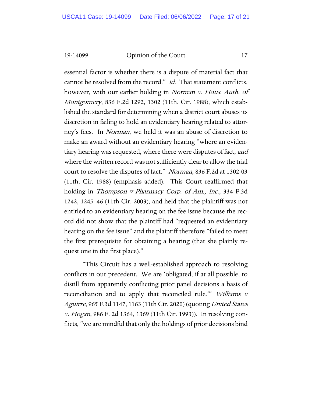essential factor is whether there is a dispute of material fact that cannot be resolved from the record." Id. That statement conflicts, however, with our earlier holding in Norman v. Hous. Auth. of Montgomery, 836 F.2d 1292, 1302 (11th. Cir. 1988), which established the standard for determining when a district court abuses its discretion in failing to hold an evidentiary hearing related to attorney's fees. In Norman, we held it was an abuse of discretion to make an award without an evidentiary hearing "where an evidentiary hearing was requested, where there were disputes of fact, and where the written record was not sufficiently clear to allow the trial court to resolve the disputes of fact." Norman, 836 F.2d at 1302-03 (11th. Cir. 1988) (emphasis added). This Court reaffirmed that holding in *Thompson v Pharmacy Corp. of Am., Inc.*, 334 F.3d 1242, 1245–46 (11th Cir. 2003), and held that the plaintiff was not entitled to an evidentiary hearing on the fee issue because the record did not show that the plaintiff had "requested an evidentiary hearing on the fee issue" and the plaintiff therefore "failed to meet the first prerequisite for obtaining a hearing (that she plainly request one in the first place)."

"This Circuit has a well-established approach to resolving conflicts in our precedent. We are 'obligated, if at all possible, to distill from apparently conflicting prior panel decisions a basis of reconciliation and to apply that reconciled rule." Williams v Aguirre, 965 F.3d 1147, 1163 (11th Cir. 2020) (quoting United States v. Hogan, 986 F. 2d 1364, 1369 (11th Cir. 1993)). In resolving conflicts, "we are mindful that only the holdings of prior decisions bind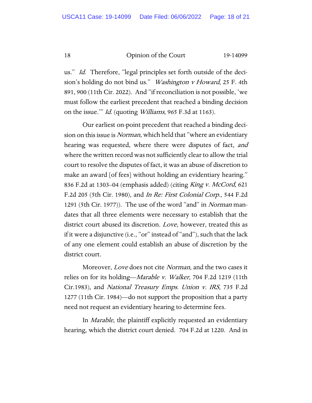us." *Id.* Therefore, "legal principles set forth outside of the decision's holding do not bind us." *Washington v Howard*, 25 F. 4th 891, 900 (11th Cir. 2022). And "if reconciliation is not possible, 'we must follow the earliest precedent that reached a binding decision on the issue."" *Id.* (quoting *Williams*, 965 F.3d at 1163).

Our earliest on-point precedent that reached a binding decision on this issue is *Norman*, which held that "where an evidentiary hearing was requested, where there were disputes of fact, and where the written record was not sufficiently clear to allow the trial court to resolve the disputes of fact, it was an abuse of discretion to make an award [of fees] without holding an evidentiary hearing." 836 F.2d at 1303–04 (emphasis added) (citing King v. McCord, 621 F.2d 205 (5th Cir. 1980), and In Re: First Colonial Corp., 544 F.2d 1291 (5th Cir. 1977)). The use of the word "and" in Norman mandates that all three elements were necessary to establish that the district court abused its discretion. *Love*, however, treated this as if it were a disjunctive (i.e., "or" instead of "and"), such that the lack of any one element could establish an abuse of discretion by the district court.

Moreover, *Love* does not cite *Norman*, and the two cases it relies on for its holding—Marable v. Walker, 704 F.2d 1219 (11th Cir.1983), and National Treasury Emps. Union v. IRS, 735 F.2d 1277 (11th Cir. 1984)—do not support the proposition that a party need not request an evidentiary hearing to determine fees.

In Marable, the plaintiff explicitly requested an evidentiary hearing, which the district court denied. 704 F.2d at 1220. And in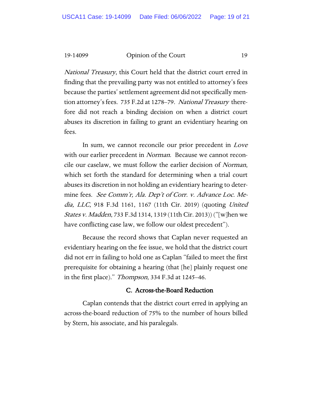National Treasury, this Court held that the district court erred in finding that the prevailing party was not entitled to attorney's fees because the parties' settlement agreement did not specifically mention attorney's fees. 735 F.2d at 1278–79. National Treasury therefore did not reach a binding decision on when a district court abuses its discretion in failing to grant an evidentiary hearing on fees.

In sum, we cannot reconcile our prior precedent in Love with our earlier precedent in *Norman*. Because we cannot reconcile our caselaw, we must follow the earlier decision of Norman, which set forth the standard for determining when a trial court abuses its discretion in not holding an evidentiary hearing to determine fees. *See Comm'r, Ala. Dep't of Corr. v. Advance Loc. Me*dia, LLC, 918 F.3d 1161, 1167 (11th Cir. 2019) (quoting United *States v. Madden, 733 F.3d 1314, 1319 (11th Cir. 2013))* ("[w]hen we have conflicting case law, we follow our oldest precedent").

Because the record shows that Caplan never requested an evidentiary hearing on the fee issue, we hold that the district court did not err in failing to hold one as Caplan "failed to meet the first prerequisite for obtaining a hearing (that [he] plainly request one in the first place)." Thompson, 334 F.3d at 1245–46.

# C. Across-the-Board Reduction

Caplan contends that the district court erred in applying an across-the-board reduction of 75% to the number of hours billed by Stern, his associate, and his paralegals.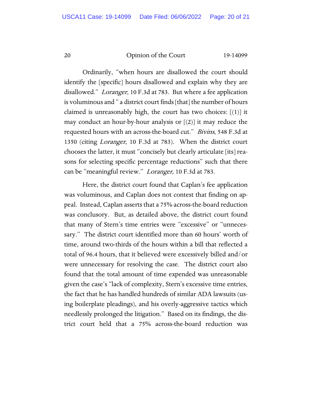Ordinarily, "when hours are disallowed the court should identify the [specific] hours disallowed and explain why they are disallowed." Loranger, 10 F.3d at 783. But where a fee application is voluminous and " a district court finds [that] the number of hours claimed is unreasonably high, the court has two choices:  $[(1)]$  it may conduct an hour-by-hour analysis or  $[(2)]$  it may reduce the requested hours with an across-the-board cut." Bivins, 548 F.3d at 1350 (citing Loranger, 10 F.3d at 783). When the district court chooses the latter, it must "concisely but clearly articulate [its] reasons for selecting specific percentage reductions" such that there can be "meaningful review." Loranger, 10 F.3d at 783.

Here, the district court found that Caplan's fee application was voluminous, and Caplan does not contest that finding on appeal. Instead, Caplan asserts that a 75% across-the-board reduction was conclusory. But, as detailed above, the district court found that many of Stern's time entries were "excessive" or "unnecessary." The district court identified more than 60 hours' worth of time, around two-thirds of the hours within a bill that reflected a total of 96.4 hours, that it believed were excessively billed and/or were unnecessary for resolving the case. The district court also found that the total amount of time expended was unreasonable given the case's "lack of complexity, Stern's excessive time entries, the fact that he has handled hundreds of similar ADA lawsuits (using boilerplate pleadings), and his overly-aggressive tactics which needlessly prolonged the litigation." Based on its findings, the district court held that a 75% across-the-board reduction was